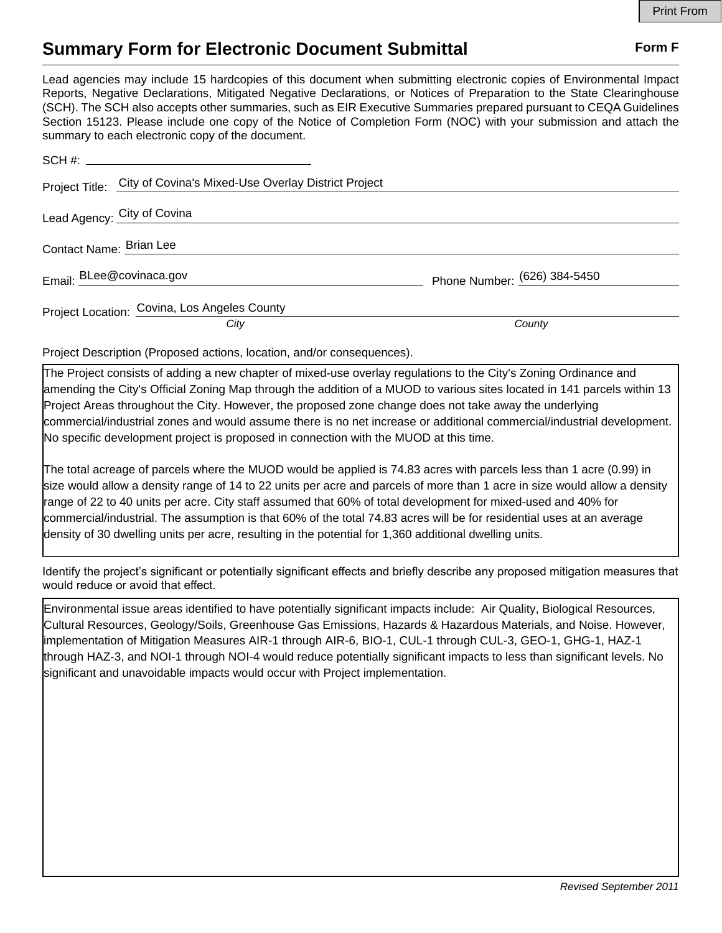## **Summary Form for Electronic Document Submittal Form F Form F**

Lead agencies may include 15 hardcopies of this document when submitting electronic copies of Environmental Impact Reports, Negative Declarations, Mitigated Negative Declarations, or Notices of Preparation to the State Clearinghouse (SCH). The SCH also accepts other summaries, such as EIR Executive Summaries prepared pursuant to CEQA Guidelines Section 15123. Please include one copy of the Notice of Completion Form (NOC) with your submission and attach the summary to each electronic copy of the document.

| Project Title: City of Covina's Mixed-Use Overlay District Project |                              |
|--------------------------------------------------------------------|------------------------------|
| Lead Agency: City of Covina                                        |                              |
| Contact Name: Brian Lee                                            |                              |
| Email: BLee@covinaca.gov                                           | Phone Number: (626) 384-5450 |
| Project Location: Covina, Los Angeles County<br>City               | County                       |

Project Description (Proposed actions, location, and/or consequences).

The Project consists of adding a new chapter of mixed-use overlay regulations to the City's Zoning Ordinance and amending the City's Official Zoning Map through the addition of a MUOD to various sites located in 141 parcels within 13 Project Areas throughout the City. However, the proposed zone change does not take away the underlying commercial/industrial zones and would assume there is no net increase or additional commercial/industrial development. No specific development project is proposed in connection with the MUOD at this time.

The total acreage of parcels where the MUOD would be applied is 74.83 acres with parcels less than 1 acre (0.99) in size would allow a density range of 14 to 22 units per acre and parcels of more than 1 acre in size would allow a density range of 22 to 40 units per acre. City staff assumed that 60% of total development for mixed-used and 40% for commercial/industrial. The assumption is that 60% of the total 74.83 acres will be for residential uses at an average density of 30 dwelling units per acre, resulting in the potential for 1,360 additional dwelling units.

Identify the project's significant or potentially significant effects and briefly describe any proposed mitigation measures that would reduce or avoid that effect.

Environmental issue areas identified to have potentially significant impacts include: Air Quality, Biological Resources, Cultural Resources, Geology/Soils, Greenhouse Gas Emissions, Hazards & Hazardous Materials, and Noise. However, implementation of Mitigation Measures AIR-1 through AIR-6, BIO-1, CUL-1 through CUL-3, GEO-1, GHG-1, HAZ-1 through HAZ-3, and NOI-1 through NOI-4 would reduce potentially significant impacts to less than significant levels. No significant and unavoidable impacts would occur with Project implementation.